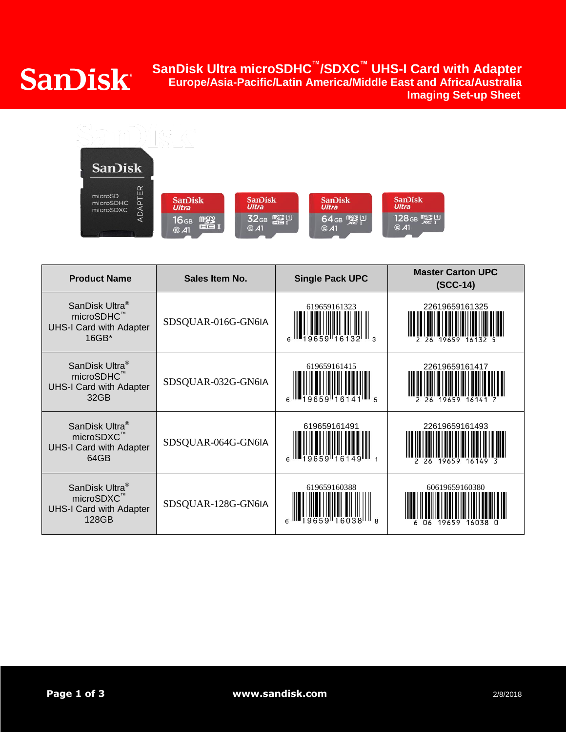## **SanDisk Ultra microSDHC ™/SDXC™ UHS-I Card with Adapter Europe/Asia-Pacific/Latin America/Middle East and Africa/Australia Sandisk Ultra microSDHC /SDXC UHS-I Card With Adapter<br>Europe/Asia-Pacific/Latin America/Middle East and Africa/Australia<br>Imaging Set-up Sheet**



| <b>Product Name</b>                                                                             | <b>Single Pack UPC</b><br>Sales Item No. |              | <b>Master Carton UPC</b><br>$(SCC-14)$ |
|-------------------------------------------------------------------------------------------------|------------------------------------------|--------------|----------------------------------------|
| SanDisk Ultra <sup>®</sup><br>microSDHC <sup>™</sup><br><b>UHS-I Card with Adapter</b><br>16GB* | SDSQUAR-016G-GN6IA                       | 619659161323 | 22619659161325<br>19659                |
| SanDisk Ultra <sup>®</sup><br>microSDHC <sup>™</sup><br><b>UHS-I Card with Adapter</b><br>32GB  | SDSQUAR-032G-GN6IA                       | 619659161415 | 22619659161417                         |
| SanDisk Ultra <sup>®</sup><br>microSDXC™<br><b>UHS-I Card with Adapter</b><br>64GB              | SDSQUAR-064G-GN6IA                       | 619659161491 | 22619659161493                         |
| SanDisk Ultra <sup>®</sup><br>microSDXC <sup>™</sup><br><b>UHS-I Card with Adapter</b><br>128GB | SDSQUAR-128G-GN6IA                       | 619659160388 | 60619659160380                         |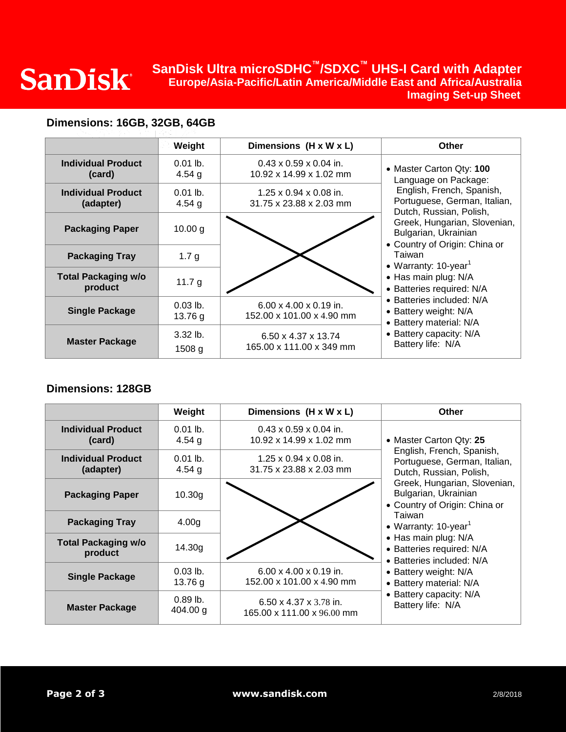# **SanDisk Ultra microSDHC ™/SDXC™ UHS-I Card with Adapter Europe/Asia-Pacific/Latin America/Middle East and Africa/Australia Sandisk Ultra microSDHC /SDXC UHS-I Card with Adapter Sand Life Shares Europe/Asia-Pacific/Latin America/Middle East and Africa/Australia<br>Imaging Set-up Sheet**

## **Dimensions: 16GB, 32GB, 64GB**

|                                        | Weight                 | Dimensions (H x W x L)                                          | Other                                                                                                                                                                                                                             |
|----------------------------------------|------------------------|-----------------------------------------------------------------|-----------------------------------------------------------------------------------------------------------------------------------------------------------------------------------------------------------------------------------|
| <b>Individual Product</b><br>(card)    | $0.01$ lb.<br>4.54 $g$ | $0.43 \times 0.59 \times 0.04$ in.<br>10.92 x 14.99 x 1.02 mm   | • Master Carton Qty: 100<br>Language on Package:<br>English, French, Spanish,<br>Portuguese, German, Italian,<br>Dutch, Russian, Polish,<br>Greek, Hungarian, Slovenian,<br>Bulgarian, Ukrainian<br>• Country of Origin: China or |
| <b>Individual Product</b><br>(adapter) | $0.01$ lb.<br>4.54 $g$ | $1.25 \times 0.94 \times 0.08$ in.<br>31.75 x 23.88 x 2.03 mm   |                                                                                                                                                                                                                                   |
| <b>Packaging Paper</b>                 | 10.00 g                |                                                                 |                                                                                                                                                                                                                                   |
| <b>Packaging Tray</b>                  | 1.7 $g$                |                                                                 | Taiwan<br>• Warranty: $10$ -year <sup>1</sup>                                                                                                                                                                                     |
| <b>Total Packaging w/o</b><br>product  | 11.7 $g$               |                                                                 | • Has main plug: N/A<br>· Batteries required: N/A                                                                                                                                                                                 |
| <b>Single Package</b>                  | $0.03$ lb.<br>13.76 g  | $6.00 \times 4.00 \times 0.19$ in.<br>152.00 x 101.00 x 4.90 mm | • Batteries included: N/A<br>• Battery weight: N/A<br>• Battery material: N/A<br>• Battery capacity: N/A<br>Battery life: N/A                                                                                                     |
| <b>Master Package</b>                  | $3.32$ lb.<br>1508 g   | 6.50 x 4.37 x 13.74<br>165.00 x 111.00 x 349 mm                 |                                                                                                                                                                                                                                   |

### **Dimensions: 128GB**

|                                        | Weight                 | Dimensions (H x W x L)                                           | <b>Other</b>                                                                                                                                                                                             |
|----------------------------------------|------------------------|------------------------------------------------------------------|----------------------------------------------------------------------------------------------------------------------------------------------------------------------------------------------------------|
| <b>Individual Product</b><br>(card)    | $0.01$ lb.<br>4.54 $g$ | $0.43 \times 0.59 \times 0.04$ in.<br>10.92 x 14.99 x 1.02 mm    | • Master Carton Qty: 25<br>English, French, Spanish,<br>Portuguese, German, Italian,<br>Dutch, Russian, Polish,<br>Greek, Hungarian, Slovenian,<br>Bulgarian, Ukrainian<br>• Country of Origin: China or |
| <b>Individual Product</b><br>(adapter) | $0.01$ lb.<br>4.54 $g$ | $1.25 \times 0.94 \times 0.08$ in.<br>31.75 x 23.88 x 2.03 mm    |                                                                                                                                                                                                          |
| <b>Packaging Paper</b>                 | 10.30 <sub>g</sub>     |                                                                  |                                                                                                                                                                                                          |
| <b>Packaging Tray</b>                  | 4.00 <sub>g</sub>      |                                                                  | Taiwan<br>• Warranty: $10$ -year <sup>1</sup>                                                                                                                                                            |
| <b>Total Packaging w/o</b><br>product  | 14.30g                 |                                                                  | • Has main plug: N/A<br>· Batteries required: N/A<br>• Batteries included: N/A                                                                                                                           |
| <b>Single Package</b>                  | $0.03$ lb.<br>13.76 g  | $6.00 \times 4.00 \times 0.19$ in.<br>152.00 x 101.00 x 4.90 mm  | • Battery weight: N/A<br>• Battery material: N/A<br>• Battery capacity: N/A<br>Battery life: N/A                                                                                                         |
| <b>Master Package</b>                  | $0.89$ lb.<br>404.00 g | $6.50 \times 4.37 \times 3.78$ in.<br>165.00 x 111.00 x 96.00 mm |                                                                                                                                                                                                          |